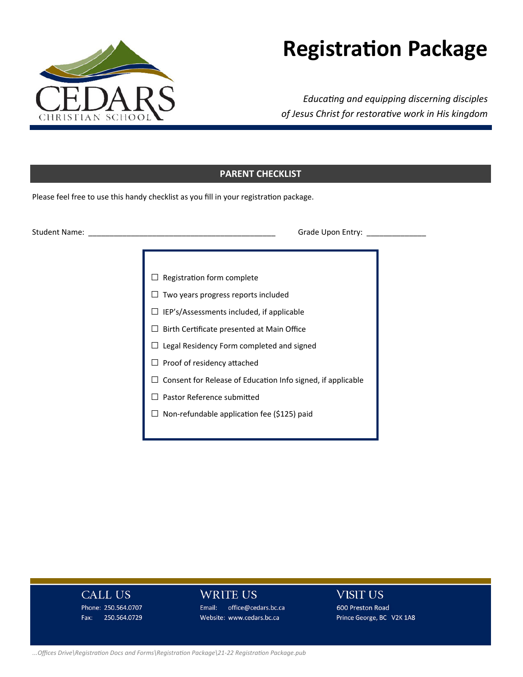

# **RegistraƟon Package**

*EducaƟng and equipping discerning disciples of Jesus Christ for restoraƟve work in His kingdom* 

# **PARENT CHECKLIST**

Please feel free to use this handy checklist as you fill in your registration package.

Student Name: \_\_\_\_\_\_\_\_\_\_\_\_\_\_\_\_\_\_\_\_\_\_\_\_\_\_\_\_\_\_\_\_\_\_\_\_\_\_\_\_\_\_\_\_ Grade Upon Entry: \_\_\_\_\_\_\_\_\_\_\_\_\_\_

- $\Box$  Registration form complete
- $\Box$  Two years progress reports included
- □ IEP's/Assessments included, if applicable
- $\square$  Birth Certificate presented at Main Office
- □ Legal Residency Form completed and signed
- $\square$  Proof of residency attached
- □ Consent for Release of Education Info signed, if applicable
- □ Pastor Reference submitted
- □ Non-refundable application fee (\$125) paid

# **CALL US**

Phone: 250.564.0707 Fax: 250.564.0729

#### WRITE US

Email: office@cedars.bc.ca Website: www.cedars.bc.ca

# **VISIT US**

600 Preston Road Prince George, BC V2K 1A8

#### *...Offices Drive\RegistraƟon Docs and Forms\RegistraƟon Package\21‐22 RegistraƟon Package.pub*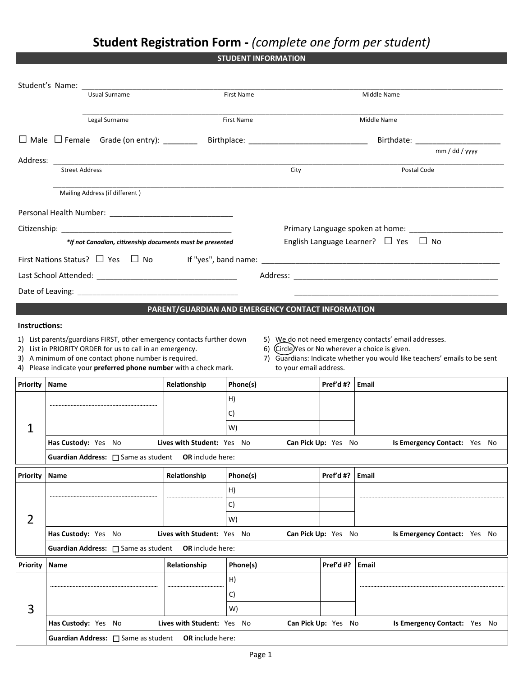# **Student RegistraƟon Form ‐** *(complete one form per student)*

**STUDENT INFORMATION** 

|                 | Usual Surname                                                                                                      |                            | First Name                                        |                     | Middle Name                                                                                              |  |
|-----------------|--------------------------------------------------------------------------------------------------------------------|----------------------------|---------------------------------------------------|---------------------|----------------------------------------------------------------------------------------------------------|--|
| Legal Surname   |                                                                                                                    | First Name                 |                                                   | Middle Name         |                                                                                                          |  |
|                 |                                                                                                                    |                            |                                                   |                     |                                                                                                          |  |
|                 |                                                                                                                    |                            |                                                   |                     |                                                                                                          |  |
|                 |                                                                                                                    |                            |                                                   |                     | mm / dd / yyyy                                                                                           |  |
|                 | <b>Street Address</b>                                                                                              |                            | City                                              |                     | Postal Code                                                                                              |  |
|                 | Mailing Address (if different)                                                                                     |                            |                                                   |                     |                                                                                                          |  |
|                 |                                                                                                                    |                            |                                                   |                     |                                                                                                          |  |
|                 |                                                                                                                    |                            |                                                   |                     |                                                                                                          |  |
|                 |                                                                                                                    |                            |                                                   |                     | Primary Language spoken at home: _____________________<br>English Language Learner? $\Box$ Yes $\Box$ No |  |
|                 | *If not Canadian, citizenship documents must be presented                                                          |                            |                                                   |                     |                                                                                                          |  |
|                 | First Nations Status? $\Box$ Yes $\Box$ No                                                                         |                            |                                                   |                     |                                                                                                          |  |
|                 |                                                                                                                    |                            |                                                   |                     |                                                                                                          |  |
|                 |                                                                                                                    |                            |                                                   |                     |                                                                                                          |  |
|                 |                                                                                                                    |                            | PARENT/GUARDIAN AND EMERGENCY CONTACT INFORMATION |                     |                                                                                                          |  |
| Instructions:   |                                                                                                                    |                            |                                                   |                     |                                                                                                          |  |
|                 | 1) List parents/guardians FIRST, other emergency contacts further down                                             |                            |                                                   |                     | 5) We do not need emergency contacts' email addresses.                                                   |  |
|                 | 2) List in PRIORITY ORDER for us to call in an emergency.<br>3) A minimum of one contact phone number is required. |                            | 6) (Circle) Yes or No wherever a choice is given. |                     | 7) Guardians: Indicate whether you would like teachers' emails to be sent                                |  |
|                 | 4) Please indicate your preferred phone number with a check mark.                                                  |                            | to your email address.                            |                     |                                                                                                          |  |
| <b>Priority</b> | Name                                                                                                               | Relationship               | Phone(s)                                          | Pref'd #? $ $ Email |                                                                                                          |  |
|                 |                                                                                                                    |                            | H)                                                |                     |                                                                                                          |  |
|                 |                                                                                                                    |                            | C)                                                |                     |                                                                                                          |  |
| $\mathbf{1}$    |                                                                                                                    |                            | W)                                                |                     |                                                                                                          |  |
|                 | Has Custody: Yes No                                                                                                | Lives with Student: Yes No |                                                   | Can Pick Up: Yes No | Is Emergency Contact: Yes No                                                                             |  |
|                 | <b>Guardian Address:</b> $\Box$ Same as student <b>OR</b> include here:                                            |                            |                                                   |                     |                                                                                                          |  |
| Priority        | Name                                                                                                               | Relationship               | Phone(s)                                          | Pref'd #?           | Email                                                                                                    |  |
|                 |                                                                                                                    |                            | H)                                                |                     |                                                                                                          |  |
|                 |                                                                                                                    |                            | C)                                                |                     |                                                                                                          |  |
| $\overline{2}$  |                                                                                                                    |                            | W)                                                |                     |                                                                                                          |  |
|                 | Has Custody: Yes No                                                                                                | Lives with Student: Yes No |                                                   | Can Pick Up: Yes No | Is Emergency Contact: Yes No                                                                             |  |
|                 | Guardian Address: [ Same as student                                                                                | OR include here:           |                                                   |                     |                                                                                                          |  |
| Priority        | Name                                                                                                               | Relationship               | Phone(s)                                          | Pref'd #?           | <b>Email</b>                                                                                             |  |
|                 |                                                                                                                    |                            | H)                                                |                     |                                                                                                          |  |
|                 |                                                                                                                    |                            | C)                                                |                     |                                                                                                          |  |
| 3               |                                                                                                                    |                            | W)                                                |                     |                                                                                                          |  |
|                 | Has Custody: Yes No                                                                                                | Lives with Student: Yes No |                                                   | Can Pick Up: Yes No | Is Emergency Contact: Yes No                                                                             |  |
|                 | Guardian Address:<br><u> Same</u> as student  OR include here:                                                     |                            |                                                   |                     |                                                                                                          |  |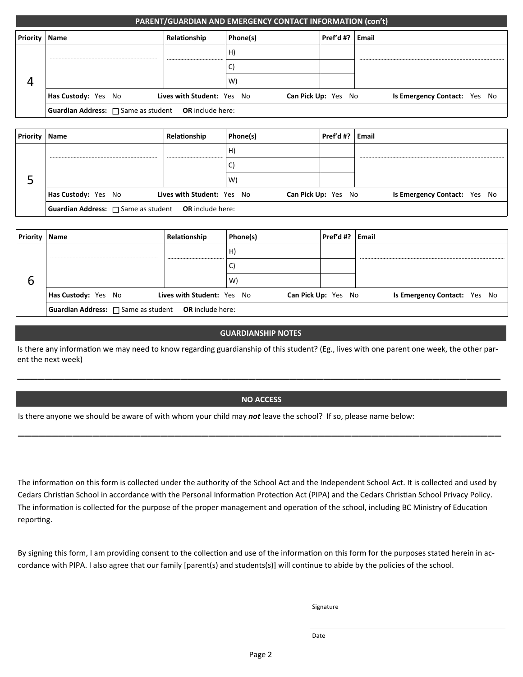|                 | PARENT/GUARDIAN AND EMERGENCY CONTACT INFORMATION (con't)               |                            |          |                            |                              |
|-----------------|-------------------------------------------------------------------------|----------------------------|----------|----------------------------|------------------------------|
| <b>Priority</b> | Name                                                                    | Relationship               | Phone(s) | Pref'd #?                  | Email                        |
|                 |                                                                         |                            | H)       |                            |                              |
|                 |                                                                         |                            | ◡        |                            |                              |
|                 |                                                                         |                            | W)       |                            |                              |
|                 | Has Custody: Yes No                                                     | Lives with Student: Yes No |          | <b>Can Pick Up: Yes No</b> | Is Emergency Contact: Yes No |
|                 | <b>Guardian Address:</b> $\Box$ Same as student <b>OR</b> include here: |                            |          |                            |                              |

| Priority | <b>Name</b>                                                             | Relationship               | Phone(s) | Pref'd #? $ $ Email        |                              |
|----------|-------------------------------------------------------------------------|----------------------------|----------|----------------------------|------------------------------|
|          |                                                                         |                            | н.       |                            |                              |
|          |                                                                         |                            |          |                            |                              |
|          |                                                                         |                            | W        |                            |                              |
|          | Has Custody: Yes No                                                     | Lives with Student: Yes No |          | <b>Can Pick Up: Yes No</b> | Is Emergency Contact: Yes No |
|          | <b>Guardian Address:</b> $\Box$ Same as student <b>OR</b> include here: |                            |          |                            |                              |

| Priority | Name                                                                    | Relationship               | Phone(s) | Pref'd #?                  | Email                        |
|----------|-------------------------------------------------------------------------|----------------------------|----------|----------------------------|------------------------------|
|          |                                                                         |                            | Ħ.       |                            |                              |
|          |                                                                         |                            |          |                            |                              |
| O        |                                                                         |                            | W)       |                            |                              |
|          | Has Custody: Yes No                                                     | Lives with Student: Yes No |          | <b>Can Pick Up: Yes No</b> | Is Emergency Contact: Yes No |
|          | <b>Guardian Address:</b> $\Box$ Same as student <b>OR</b> include here: |                            |          |                            |                              |

#### **GUARDIANSHIP NOTES**

Is there any information we may need to know regarding guardianship of this student? (Eg., lives with one parent one week, the other parent the next week)

#### **NO ACCESS**

\_\_\_\_\_\_\_\_\_\_\_\_\_\_\_\_\_\_\_\_\_\_\_\_\_\_\_\_\_\_\_\_\_\_\_\_\_\_\_\_\_\_\_\_\_\_\_\_\_\_\_\_\_\_\_\_\_\_\_\_\_\_\_\_\_\_\_\_\_\_\_

\_\_\_\_\_\_\_\_\_\_\_\_\_\_\_\_\_\_\_\_\_\_\_\_\_\_\_\_\_\_\_\_\_\_\_\_\_\_\_\_\_\_\_\_\_\_\_\_\_\_\_\_\_\_\_\_\_\_\_\_\_\_\_\_\_\_\_\_\_\_\_

Is there anyone we should be aware of with whom your child may *not* leave the school? If so, please name below:

The information on this form is collected under the authority of the School Act and the Independent School Act. It is collected and used by Cedars Christian School in accordance with the Personal Information Protection Act (PIPA) and the Cedars Christian School Privacy Policy. The information is collected for the purpose of the proper management and operation of the school, including BC Ministry of Education reporting.

By signing this form, I am providing consent to the collection and use of the information on this form for the purposes stated herein in accordance with PIPA. I also agree that our family [parent(s) and students(s)] will continue to abide by the policies of the school.

Signature

Date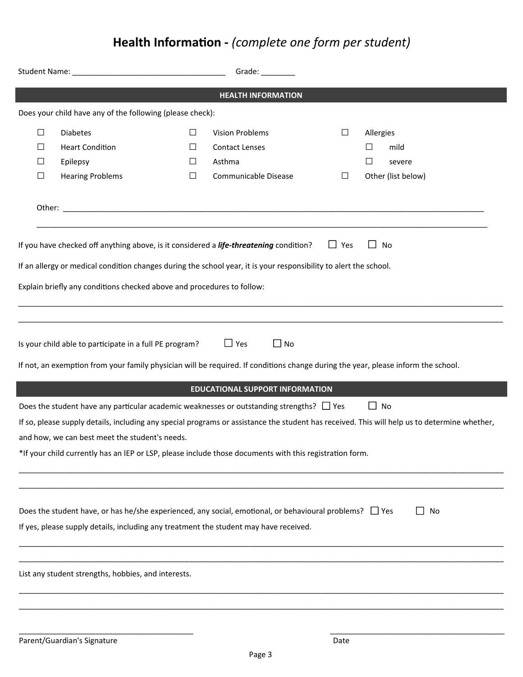# **Health InformaƟon ‐** *(complete one form per student)*

|                  |                                                                                                                                                                                                       |                  | Grade: $\sqrt{ }$                                         |            |                                                                                                                                                           |  |
|------------------|-------------------------------------------------------------------------------------------------------------------------------------------------------------------------------------------------------|------------------|-----------------------------------------------------------|------------|-----------------------------------------------------------------------------------------------------------------------------------------------------------|--|
|                  |                                                                                                                                                                                                       |                  | <b>HEALTH INFORMATION</b>                                 |            |                                                                                                                                                           |  |
|                  | Does your child have any of the following (please check):                                                                                                                                             |                  |                                                           |            |                                                                                                                                                           |  |
| $\Box$<br>⊔<br>ப | <b>Diabetes</b><br><b>Heart Condition</b><br>Epilepsy                                                                                                                                                 | $\Box$<br>ப<br>⊔ | <b>Vision Problems</b><br><b>Contact Lenses</b><br>Asthma | $\Box$     | Allergies<br>mild<br>$\Box$<br>$\Box$<br>severe                                                                                                           |  |
| $\Box$           | <b>Hearing Problems</b>                                                                                                                                                                               | $\Box$           | Communicable Disease                                      | $\Box$     | Other (list below)                                                                                                                                        |  |
|                  |                                                                                                                                                                                                       |                  |                                                           |            |                                                                                                                                                           |  |
|                  | If you have checked off anything above, is it considered a life-threatening condition?                                                                                                                |                  |                                                           | $\Box$ Yes | No<br>$\blacksquare$                                                                                                                                      |  |
|                  | If an allergy or medical condition changes during the school year, it is your responsibility to alert the school.                                                                                     |                  |                                                           |            |                                                                                                                                                           |  |
|                  | Explain briefly any conditions checked above and procedures to follow:                                                                                                                                |                  |                                                           |            |                                                                                                                                                           |  |
|                  |                                                                                                                                                                                                       |                  |                                                           |            |                                                                                                                                                           |  |
|                  | Is your child able to participate in a full PE program?                                                                                                                                               |                  | $\Box$ Yes<br>$\Box$ No                                   |            | If not, an exemption from your family physician will be required. If conditions change during the year, please inform the school.                         |  |
|                  |                                                                                                                                                                                                       |                  |                                                           |            |                                                                                                                                                           |  |
|                  |                                                                                                                                                                                                       |                  | <b>EDUCATIONAL SUPPORT INFORMATION</b>                    |            |                                                                                                                                                           |  |
|                  | Does the student have any particular academic weaknesses or outstanding strengths? $\Box$ Yes                                                                                                         |                  |                                                           |            | $\Box$ No<br>If so, please supply details, including any special programs or assistance the student has received. This will help us to determine whether, |  |
|                  | and how, we can best meet the student's needs.                                                                                                                                                        |                  |                                                           |            |                                                                                                                                                           |  |
|                  | *If your child currently has an IEP or LSP, please include those documents with this registration form.                                                                                               |                  |                                                           |            |                                                                                                                                                           |  |
|                  |                                                                                                                                                                                                       |                  |                                                           |            |                                                                                                                                                           |  |
|                  | Does the student have, or has he/she experienced, any social, emotional, or behavioural problems? $\Box$ Yes<br>If yes, please supply details, including any treatment the student may have received. |                  |                                                           |            | No                                                                                                                                                        |  |
|                  |                                                                                                                                                                                                       |                  |                                                           |            |                                                                                                                                                           |  |
|                  | List any student strengths, hobbies, and interests.                                                                                                                                                   |                  |                                                           |            |                                                                                                                                                           |  |
|                  |                                                                                                                                                                                                       |                  |                                                           |            |                                                                                                                                                           |  |
|                  |                                                                                                                                                                                                       |                  |                                                           |            |                                                                                                                                                           |  |
|                  |                                                                                                                                                                                                       |                  |                                                           |            |                                                                                                                                                           |  |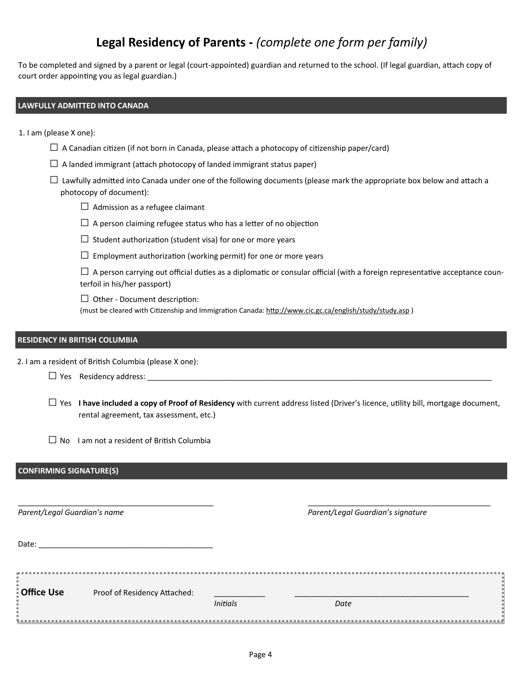# **Legal Residency of Parents ‐** *(complete one form per family)*

To be completed and signed by a parent or legal (court-appointed) guardian and returned to the school. (If legal guardian, attach copy of court order appointing you as legal guardian.)

#### **LAWFULLY ADMITTED INTO CANADA**

1. I am (please X one):

- $\Box$  A Canadian citizen (if not born in Canada, please attach a photocopy of citizenship paper/card)
- $\Box$  A landed immigrant (attach photocopy of landed immigrant status paper)
- $\Box$  Lawfully admitted into Canada under one of the following documents (please mark the appropriate box below and attach a photocopy of document):
	- $\Box$  Admission as a refugee claimant
	- $\Box$  A person claiming refugee status who has a letter of no objection
	- $\square$  Student authorization (student visa) for one or more years
	- $\square$  Employment authorization (working permit) for one or more years

 $\Box$  A person carrying out official duties as a diplomatic or consular official (with a foreign representative acceptance counterfoil in his/her passport)

 $\Box$  Other - Document description:

(must be cleared with Citizenship and Immigration Canada: http://www.cic.gc.ca/english/study/study.asp)

#### **RESIDENCY IN BRITISH COLUMBIA**

2. I am a resident of British Columbia (please X one):

| $\overline{\phantom{0}}$ |                    |  |
|--------------------------|--------------------|--|
| $\Box$ Yes               | Residency address: |  |

□ Yes **I have included a copy of Proof of Residency** with current address listed (Driver's licence, utility bill, mortgage document, rental agreement, tax assessment, etc.)

 $\Box$  No I am not a resident of British Columbia

#### **CONFIRMING SIGNATURE(S)**

| Parent/Legal Guardian's name |                              |                 | Parent/Legal Guardian's signature |  |
|------------------------------|------------------------------|-----------------|-----------------------------------|--|
| Date:                        |                              |                 |                                   |  |
| Office Use                   | Proof of Residency Attached: | <b>Initials</b> | Date                              |  |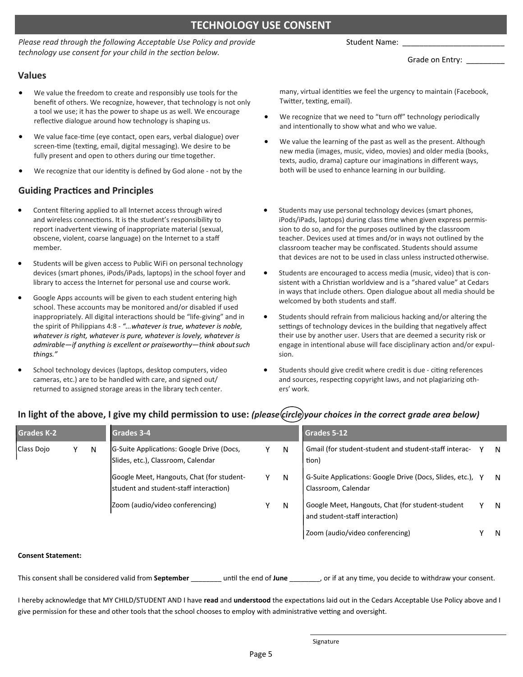# **TECHNOLOGY USE CONSENT**

*Please read through the following Acceptable Use Policy and provide technology use consent for your child in the section below.* 

#### Student Name:

Grade on Entry: \_

#### **Values**

- We value the freedom to create and responsibly use tools for the benefit of others. We recognize, however, that technology is not only a tool we use; it has the power to shape us as well. We encourage reflective dialogue around how technology is shaping us.
- We value face-time (eye contact, open ears, verbal dialogue) over screen-time (texting, email, digital messaging). We desire to be fully present and open to others during our time together.
- We recognize that our identity is defined by God alone not by the

#### **Guiding PracƟces and Principles**

- Content filtering applied to all Internet access through wired and wireless connections. It is the student's responsibility to report inadvertent viewing of inappropriate material (sexual, obscene, violent, coarse language) on the Internet to a staff member.
- Students will be given access to Public WiFi on personal technology devices (smart phones, iPods/iPads, laptops) in the school foyer and library to access the Internet for personal use and course work.
- Google Apps accounts will be given to each student entering high school. These accounts may be monitored and/or disabled if used inappropriately. All digital interactions should be "life-giving" and in the spirit of Philippians 4:8 ‐ *"...whatever is true, whatever is noble, whatever is right, whatever is pure, whatever is lovely, whatever is admirable—if anything is excellent or praiseworthy—think about such things."*
- School technology devices (laptops, desktop computers, video cameras, etc.) are to be handled with care, and signed out/ returned to assigned storage areas in the library tech center.

many, virtual identities we feel the urgency to maintain (Facebook, Twitter, texting, email).

- We recognize that we need to "turn off" technology periodically and intentionally to show what and who we value.
- We value the learning of the past as well as the present. Although new media (images, music, video, movies) and older media (books, texts, audio, drama) capture our imaginations in different ways, both will be used to enhance learning in our building.
- Students may use personal technology devices (smart phones, iPods/iPads, laptops) during class time when given express permission to do so, and for the purposes outlined by the classroom teacher. Devices used at times and/or in ways not outlined by the classroom teacher may be confiscated. Students should assume that devices are not to be used in class unless instructed otherwise.
- Students are encouraged to access media (music, video) that is con‐ sistent with a Christian worldview and is a "shared value" at Cedars in ways that include others. Open dialogue about all media should be welcomed by both students and staff.
- Students should refrain from malicious hacking and/or altering the settings of technology devices in the building that negatively affect their use by another user. Users that are deemed a security risk or engage in intentional abuse will face disciplinary action and/or expulsion.
- Students should give credit where credit is due citing references and sources, respecting copyright laws, and not plagiarizing others' work.

| <b>Grades K-2</b> |  |   | Grades 3-4                                                                          |  |   | Grades 5-12                                                                        |  |    |  |
|-------------------|--|---|-------------------------------------------------------------------------------------|--|---|------------------------------------------------------------------------------------|--|----|--|
| Class Dojo        |  | N | G-Suite Applications: Google Drive (Docs,<br>Slides, etc.), Classroom, Calendar     |  | N | Gmail (for student-student and student-staff interac-<br>tion)                     |  | N. |  |
|                   |  |   | Google Meet, Hangouts, Chat (for student-<br>student and student-staff interaction) |  | N | G-Suite Applications: Google Drive (Docs, Slides, etc.), Y<br>Classroom, Calendar  |  | -N |  |
|                   |  |   | Zoom (audio/video conferencing)                                                     |  | N | Google Meet, Hangouts, Chat (for student-student<br>and student-staff interaction) |  | N  |  |
|                   |  |   |                                                                                     |  |   | Zoom (audio/video conferencing)                                                    |  | N  |  |

### In light of the above, I give my child permission to use: *(please (circle) your choices in the correct grade area below)*

#### **Consent Statement:**

This consent shall be considered valid from **September and invertion the end of June** and of our interest, or if at any time, you decide to withdraw your consent.

I hereby acknowledge that MY CHILD/STUDENT AND I have **read** and **understood** the expectaƟons laid out in the Cedars Acceptable Use Policy above and I give permission for these and other tools that the school chooses to employ with administrative vetting and oversight.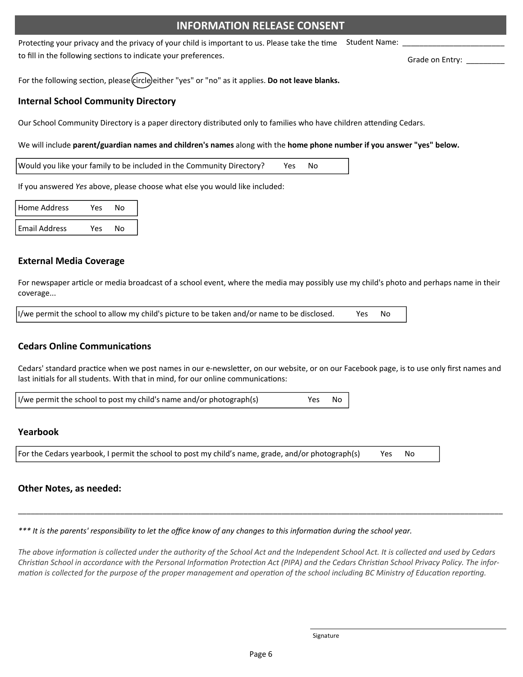## **INFORMATION RELEASE CONSENT**

Protecting your privacy and the privacy of your child is important to us. Please take the time to fill in the following sections to indicate your preferences. Student Name:

For the following section, please *(circle)* either "yes" or "no" as it applies. **Do not leave blanks.** 

### **Internal School Community Directory**

Our School Community Directory is a paper directory distributed only to families who have children attending Cedars.

We will include **parent/guardian names and children's names** along with the **home phone number if you answer "yes" below.** 

Would you like your family to be included in the Community Directory? Yes No

If you answered *Yes* above, please choose what else you would like included:

| Home Address         | Yes | N٥ |  |
|----------------------|-----|----|--|
| <b>Email Address</b> | Yes | N٥ |  |

#### **External Media Coverage**

For newspaper article or media broadcast of a school event, where the media may possibly use my child's photo and perhaps name in their coverage...

I/we permit the school to allow my child's picture to be taken and/or name to be disclosed. Yes No

#### **Cedars Online CommunicaƟons**

Cedars' standard practice when we post names in our e-newsletter, on our website, or on our Facebook page, is to use only first names and last initials for all students. With that in mind, for our online communications:

I/we permit the school to post my child's name and/or photograph(s) Yes No

#### **Yearbook**

For the Cedars yearbook, I permit the school to post my child's name, grade, and/or photograph(s) Yes No

#### **Other Notes, as needed:**

*\*\*\* It is the parents' responsibility to let the office know of any changes to this informaƟon during the school year.* 

The above information is collected under the authority of the School Act and the Independent School Act. It is collected and used by Cedars *ChrisƟan School in accordance with the Personal InformaƟon ProtecƟon Act (PIPA) and the Cedars ChrisƟan School Privacy Policy. The infor‐ maƟon is collected for the purpose of the proper management and operaƟon of the school including BC Ministry of EducaƟon reporƟng.*

\_\_\_\_\_\_\_\_\_\_\_\_\_\_\_\_\_\_\_\_\_\_\_\_\_\_\_\_\_\_\_\_\_\_\_\_\_\_\_\_\_\_\_\_\_\_\_\_\_\_\_\_\_\_\_\_\_\_\_\_\_\_\_\_\_\_\_\_\_\_\_\_\_\_\_\_\_\_\_\_\_\_\_\_\_\_\_\_\_\_\_\_\_\_\_\_\_\_\_\_\_\_\_\_\_\_\_\_\_\_\_\_\_\_

Grade on Entry: \_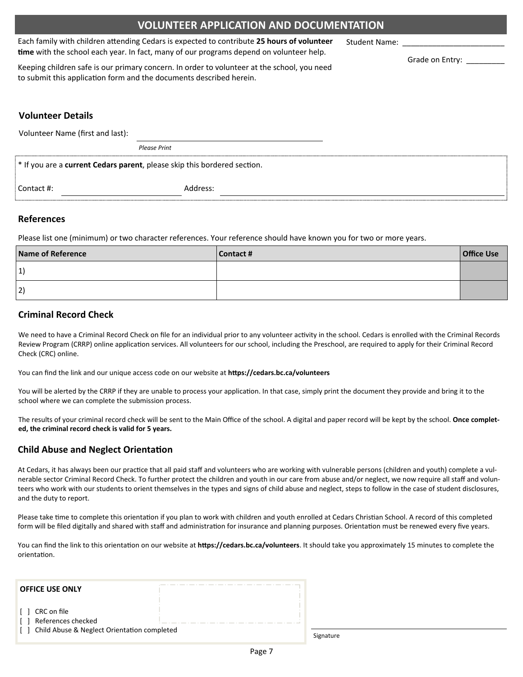## **VOLUNTEER APPLICATION AND DOCUMENTATION**

Each family with children aƩending Cedars is expected to contribute **25 hours of volunteer time** with the school each year. In fact, many of our programs depend on volunteer help.

Keeping children safe is our primary concern. In order to volunteer at the school, you need to submit this application form and the documents described herein.

### **Volunteer Details**

Volunteer Name (first and last):

*Please Print*

|              | * If you are a <b>current Cedars parent</b> , please skip this bordered section. |  |
|--------------|----------------------------------------------------------------------------------|--|
| : Contact #: | Address:                                                                         |  |

#### **References**

Please list one (minimum) or two character references. Your reference should have known you for two or more years.

| Name of Reference | Contact # | <b>Office Use</b> |
|-------------------|-----------|-------------------|
| 1                 |           |                   |
| 2)                |           |                   |

#### **Criminal Record Check**

We need to have a Criminal Record Check on file for an individual prior to any volunteer activity in the school. Cedars is enrolled with the Criminal Records Review Program (CRRP) online application services. All volunteers for our school, including the Preschool, are required to apply for their Criminal Record Check (CRC) online.

You can find the link and our unique access code on our website at **https://cedars.bc.ca/volunteers** 

You will be alerted by the CRRP if they are unable to process your application. In that case, simply print the document they provide and bring it to the school where we can complete the submission process.

The results of your criminal record check will be sent to the Main Office of the school. A digital and paper record will be kept by the school. **Once complet‐ ed, the criminal record check is valid for 5 years.**

#### **Child Abuse and Neglect Orientation**

At Cedars, it has always been our practice that all paid staff and volunteers who are working with vulnerable persons (children and youth) complete a vulnerable sector Criminal Record Check. To further protect the children and youth in our care from abuse and/or neglect, we now require all staff and volunteers who work with our students to orient themselves in the types and signs of child abuse and neglect, steps to follow in the case of student disclosures, and the duty to report.

Please take time to complete this orientation if you plan to work with children and youth enrolled at Cedars Christian School. A record of this completed form will be filed digitally and shared with staff and administration for insurance and planning purposes. Orientation must be renewed every five years.

You can find the link to this orientation on our website at https://cedars.bc.ca/volunteers. It should take you approximately 15 minutes to complete the orientaƟon.

| <b>OFFICE USE ONLY</b>                                                                                     |  |
|------------------------------------------------------------------------------------------------------------|--|
| $\lceil \cdot \rceil$ CRC on file<br>References checked<br>[ ] Child Abuse & Neglect Orientation completed |  |

Signature

Student Name:

Grade on Entry: \_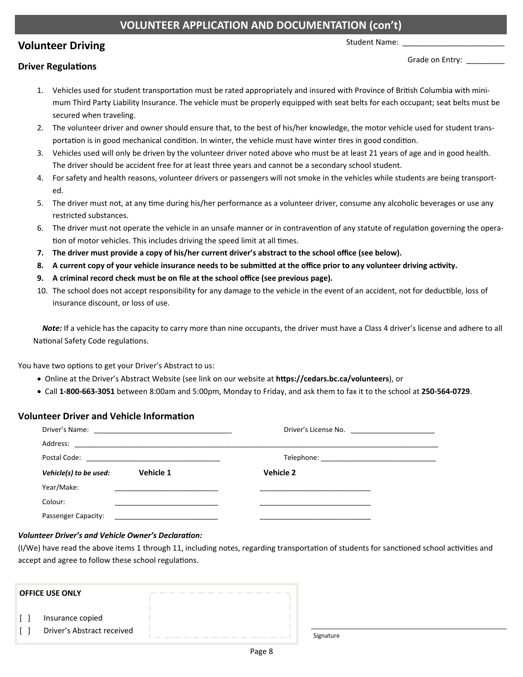# **VOLUNTEER APPLICATION AND DOCUMENTATION (con't)**

# **Volunteer Driving**

Student Name:

#### **Driver RegulaƟons**

Grade on Entry:

- 1. Vehicles used for student transportation must be rated appropriately and insured with Province of British Columbia with minimum Third Party Liability Insurance. The vehicle must be properly equipped with seat belts for each occupant; seat belts must be secured when traveling.
- 2. The volunteer driver and owner should ensure that, to the best of his/her knowledge, the motor vehicle used for student trans‐ portation is in good mechanical condition. In winter, the vehicle must have winter tires in good condition.
- 3. Vehicles used will only be driven by the volunteer driver noted above who must be at least 21 years of age and in good health. The driver should be accident free for at least three years and cannot be a secondary school student.
- 4. For safety and health reasons, volunteer drivers or passengers will not smoke in the vehicles while students are being transport‐ ed.
- 5. The driver must not, at any time during his/her performance as a volunteer driver, consume any alcoholic beverages or use any restricted substances.
- 6. The driver must not operate the vehicle in an unsafe manner or in contravention of any statute of regulation governing the operation of motor vehicles. This includes driving the speed limit at all times.
- **7. The driver must provide a copy of his/her current driver's abstract to the school office (see below).**
- **8. A current copy of your vehicle insurance needs to be submiƩed at the office prior to any volunteer driving acƟvity.**
- **9. A criminal record check must be on file at the school office (see previous page).**
- 10. The school does not accept responsibility for any damage to the vehicle in the event of an accident, not for deductible, loss of insurance discount, or loss of use.

*Note:* If a vehicle has the capacity to carry more than nine occupants, the driver must have a Class 4 driver's license and adhere to all National Safety Code regulations.

You have two options to get your Driver's Abstract to us:

- Online at the Driver's Abstract Website (see link on our website at **hƩps://cedars.bc.ca/volunteers**), or
- Call **1‐800‐663‐3051** between 8:00am and 5:00pm, Monday to Friday, and ask them to fax it to the school at **250‐564‐0729**.

#### **Volunteer Driver and Vehicle Information**

| Address:                            |  |           |  |  |
|-------------------------------------|--|-----------|--|--|
|                                     |  |           |  |  |
| Vehicle 1<br>Vehicle(s) to be used: |  | Vehicle 2 |  |  |
| Year/Make:                          |  |           |  |  |
| Colour:                             |  |           |  |  |
| Passenger Capacity:                 |  |           |  |  |

#### *Volunteer Driver's and Vehicle Owner's Declaration:*

(I/We) have read the above items 1 through 11, including notes, regarding transportation of students for sanctioned school activities and accept and agree to follow these school regulations.

| <b>OFFICE USE ONLY</b>                         |  |
|------------------------------------------------|--|
| Insurance copied<br>Driver's Abstract received |  |

Signature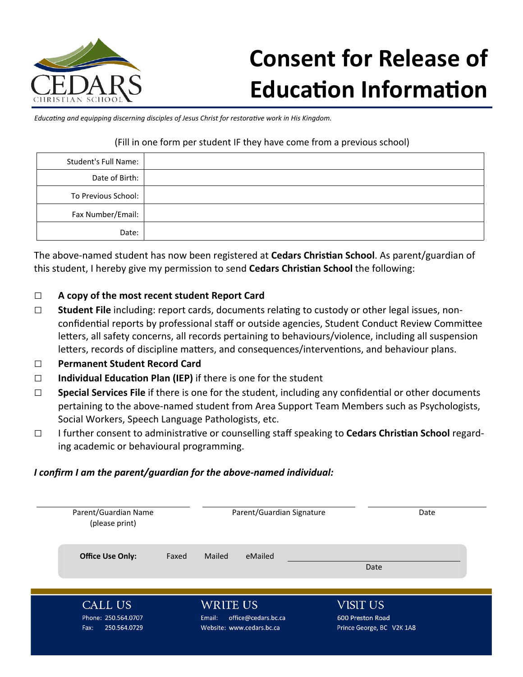

# **Consent for Release of Education Information**

*EducaƟng and equipping discerning disciples of Jesus Christ for restoraƟve work in His Kingdom.* 

## (Fill in one form per student IF they have come from a previous school)

| Student's Full Name: |  |
|----------------------|--|
| Date of Birth:       |  |
| To Previous School:  |  |
| Fax Number/Email:    |  |
| Date:                |  |

The above‐named student has now been registered at **Cedars ChrisƟan School**. As parent/guardian of this student, I hereby give my permission to send **Cedars Christian School** the following:

# □ **A copy of the most recent student Report Card**

- □ Student File including: report cards, documents relating to custody or other legal issues, nonconfidential reports by professional staff or outside agencies, Student Conduct Review Committee letters, all safety concerns, all records pertaining to behaviours/violence, including all suspension letters, records of discipline matters, and consequences/interventions, and behaviour plans.
- □ **Permanent Student Record Card**
- □ **Individual Education Plan (IEP)** if there is one for the student
- □ **Special Services File** if there is one for the student, including any confidential or other documents pertaining to the above-named student from Area Support Team Members such as Psychologists, Social Workers, Speech Language Pathologists, etc.
- □ I further consent to administrative or counselling staff speaking to **Cedars Christian School** regarding academic or behavioural programming.

# *I confirm I am the parent/guardian for the above‐named individual:*